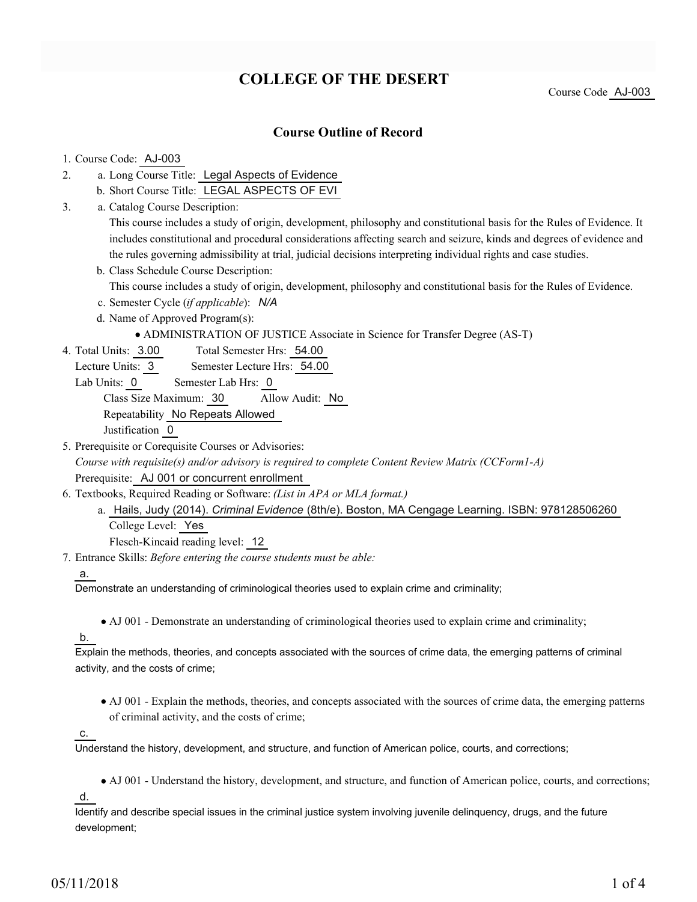# **COLLEGE OF THE DESERT**

Course Code AJ-003

## **Course Outline of Record**

### 1. Course Code: AJ-003

- a. Long Course Title: Legal Aspects of Evidence 2.
	- b. Short Course Title: LEGAL ASPECTS OF EVI
- Catalog Course Description: a. 3.

This course includes a study of origin, development, philosophy and constitutional basis for the Rules of Evidence. It includes constitutional and procedural considerations affecting search and seizure, kinds and degrees of evidence and the rules governing admissibility at trial, judicial decisions interpreting individual rights and case studies.

b. Class Schedule Course Description:

This course includes a study of origin, development, philosophy and constitutional basis for the Rules of Evidence.

- c. Semester Cycle (*if applicable*): *N/A*
- d. Name of Approved Program(s):

ADMINISTRATION OF JUSTICE Associate in Science for Transfer Degree (AS-T)

- Total Semester Hrs: 54.00 4. Total Units: 3.00
	- Lecture Units: 3 Semester Lecture Hrs: 54.00
	- Lab Units: 0 Semester Lab Hrs: 0

Class Size Maximum: 30 Allow Audit: No

Repeatability No Repeats Allowed

Justification 0

5. Prerequisite or Corequisite Courses or Advisories:

*Course with requisite(s) and/or advisory is required to complete Content Review Matrix (CCForm1-A)*

Prerequisite: AJ 001 or concurrent enrollment

- Textbooks, Required Reading or Software: *(List in APA or MLA format.)* 6.
	- a. Hails, Judy (2014). *Criminal Evidence* (8th/e). Boston, MA Cengage Learning. ISBN: 978128506260 College Level: Yes

Flesch-Kincaid reading level: 12

Entrance Skills: *Before entering the course students must be able:* 7.

#### a.

Demonstrate an understanding of criminological theories used to explain crime and criminality;

AJ 001 - Demonstrate an understanding of criminological theories used to explain crime and criminality;

## b.

Explain the methods, theories, and concepts associated with the sources of crime data, the emerging patterns of criminal activity, and the costs of crime;

AJ 001 - Explain the methods, theories, and concepts associated with the sources of crime data, the emerging patterns of criminal activity, and the costs of crime;

c.

Understand the history, development, and structure, and function of American police, courts, and corrections;

AJ 001 - Understand the history, development, and structure, and function of American police, courts, and corrections;

d.

Identify and describe special issues in the criminal justice system involving juvenile delinquency, drugs, and the future development;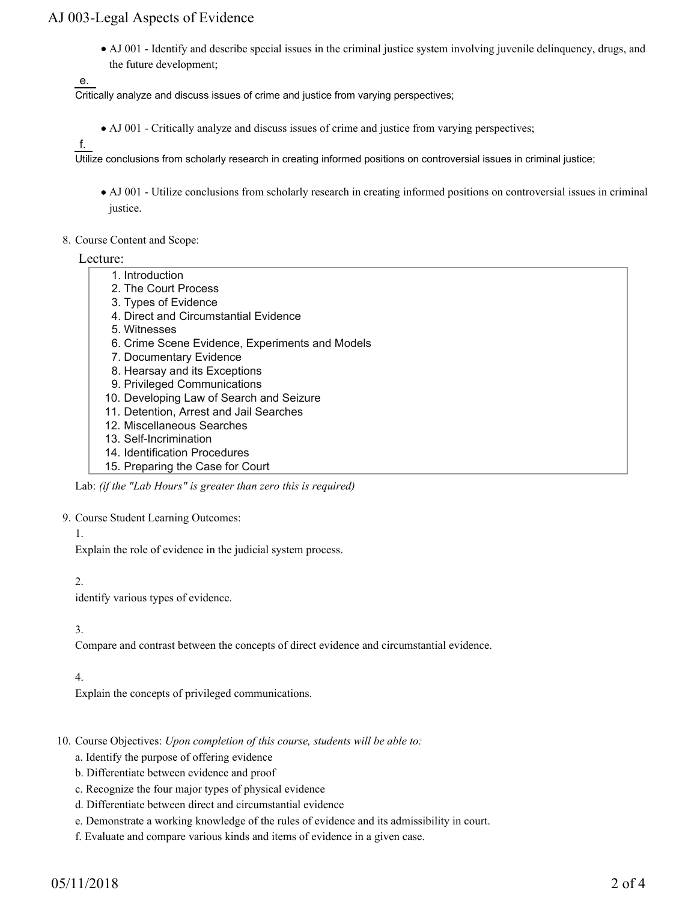## AJ 003-Legal Aspects of Evidence

AJ 001 - Identify and describe special issues in the criminal justice system involving juvenile delinquency, drugs, and the future development;

e.

Critically analyze and discuss issues of crime and justice from varying perspectives;

• AJ 001 - Critically analyze and discuss issues of crime and justice from varying perspectives;

f.

Utilize conclusions from scholarly research in creating informed positions on controversial issues in criminal justice;

- AJ 001 Utilize conclusions from scholarly research in creating informed positions on controversial issues in criminal justice.
- 8. Course Content and Scope:

Lecture:

- 1. Introduction
- 2. The Court Process
- 3. Types of Evidence
- 4. Direct and Circumstantial Evidence
- 5. Witnesses
- 6. Crime Scene Evidence, Experiments and Models
- 7. Documentary Evidence
- 8. Hearsay and its Exceptions
- 9. Privileged Communications
- 10. Developing Law of Search and Seizure
- 11. Detention, Arrest and Jail Searches
- 12. Miscellaneous Searches
- 13. Self-Incrimination
- 14. Identification Procedures
- 15. Preparing the Case for Court

Lab: *(if the "Lab Hours" is greater than zero this is required)*

9. Course Student Learning Outcomes:

1.

Explain the role of evidence in the judicial system process.

#### 2.

identify various types of evidence.

### 3.

Compare and contrast between the concepts of direct evidence and circumstantial evidence.

### 4.

Explain the concepts of privileged communications.

- 10. Course Objectives: Upon completion of this course, students will be able to:
	- a. Identify the purpose of offering evidence
	- b. Differentiate between evidence and proof
	- c. Recognize the four major types of physical evidence
	- d. Differentiate between direct and circumstantial evidence
	- e. Demonstrate a working knowledge of the rules of evidence and its admissibility in court.
	- f. Evaluate and compare various kinds and items of evidence in a given case.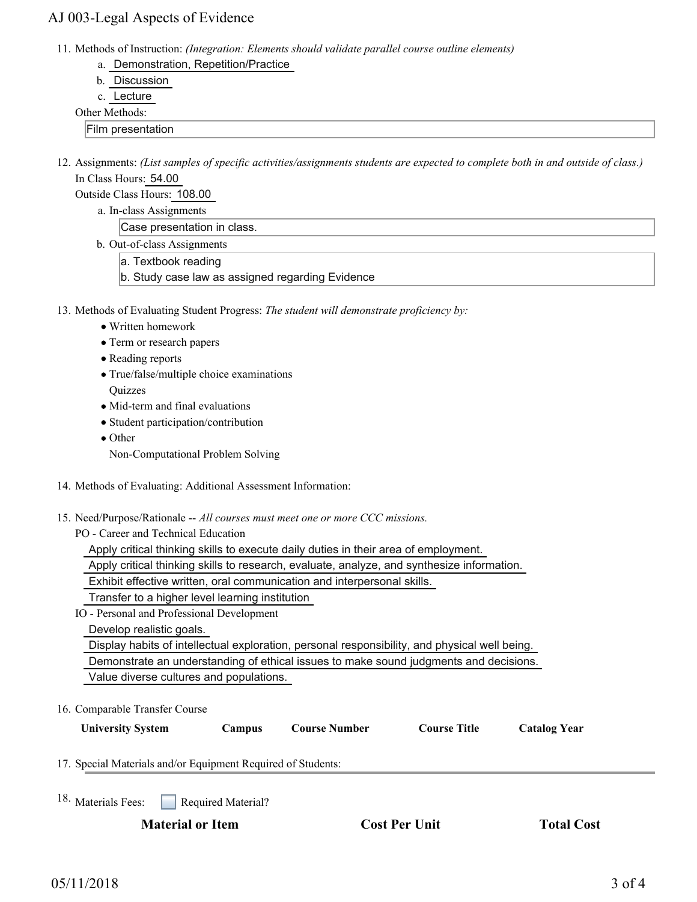## AJ 003-Legal Aspects of Evidence

11. Methods of Instruction: *(Integration: Elements should validate parallel course outline elements)* 

- a. Demonstration, Repetition/Practice
- b. Discussion
- c. Lecture

### Other Methods:

- Film presentation
- 12. Assignments: (List samples of specific activities/assignments students are expected to complete both in and outside of class.) In Class Hours: 54.00
	- Outside Class Hours: 108.00
		- a. In-class Assignments

Case presentation in class.

- b. Out-of-class Assignments
	- a. Textbook reading
	- b. Study case law as assigned regarding Evidence
- 13. Methods of Evaluating Student Progress: The student will demonstrate proficiency by:
	- Written homework
	- Term or research papers
	- Reading reports
	- True/false/multiple choice examinations **Ouizzes**
	- Mid-term and final evaluations
	- Student participation/contribution
	- Other
	- Non-Computational Problem Solving
- 14. Methods of Evaluating: Additional Assessment Information:
- 15. Need/Purpose/Rationale -- All courses must meet one or more CCC missions.

PO - Career and Technical Education

Apply critical thinking skills to execute daily duties in their area of employment.

- Apply critical thinking skills to research, evaluate, analyze, and synthesize information.
- Exhibit effective written, oral communication and interpersonal skills.

Transfer to a higher level learning institution

IO - Personal and Professional Development

Develop realistic goals.

Display habits of intellectual exploration, personal responsibility, and physical well being.

Demonstrate an understanding of ethical issues to make sound judgments and decisions.

Value diverse cultures and populations.

16. Comparable Transfer Course

| <b>University System</b> | Campus | <b>Course Number</b> | <b>Course Title</b> | <b>Catalog Year</b> |
|--------------------------|--------|----------------------|---------------------|---------------------|
|                          |        |                      |                     |                     |

17. Special Materials and/or Equipment Required of Students:

Required Material? <sup>18.</sup> Materials Fees:

**Material or Item Cost Per Unit Total Cost Per Unit Total Cost**